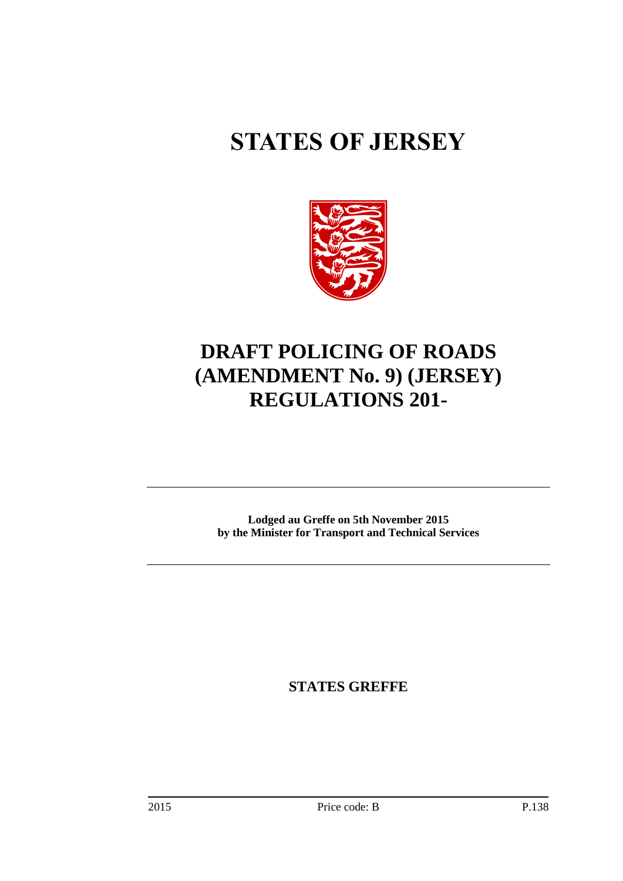# **STATES OF JERSEY**



## **DRAFT POLICING OF ROADS (AMENDMENT No. 9) (JERSEY) REGULATIONS 201-**

**Lodged au Greffe on 5th November 2015 by the Minister for Transport and Technical Services**

**STATES GREFFE**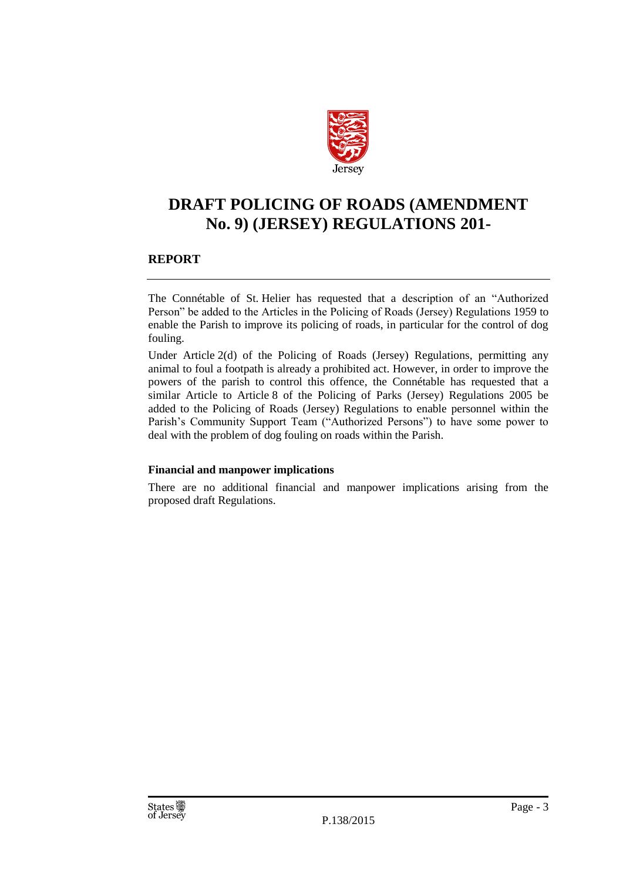

### **DRAFT POLICING OF ROADS (AMENDMENT No. 9) (JERSEY) REGULATIONS 201-**

### **REPORT**

The Connétable of St. Helier has requested that a description of an "Authorized Person" be added to the Articles in the Policing of Roads (Jersey) Regulations 1959 to enable the Parish to improve its policing of roads, in particular for the control of dog fouling.

Under Article 2(d) of the Policing of Roads (Jersey) Regulations, permitting any animal to foul a footpath is already a prohibited act. However, in order to improve the powers of the parish to control this offence, the Connétable has requested that a similar Article to Article 8 of the Policing of Parks (Jersey) Regulations 2005 be added to the Policing of Roads (Jersey) Regulations to enable personnel within the Parish's Community Support Team ("Authorized Persons") to have some power to deal with the problem of dog fouling on roads within the Parish.

### **Financial and manpower implications**

There are no additional financial and manpower implications arising from the proposed draft Regulations.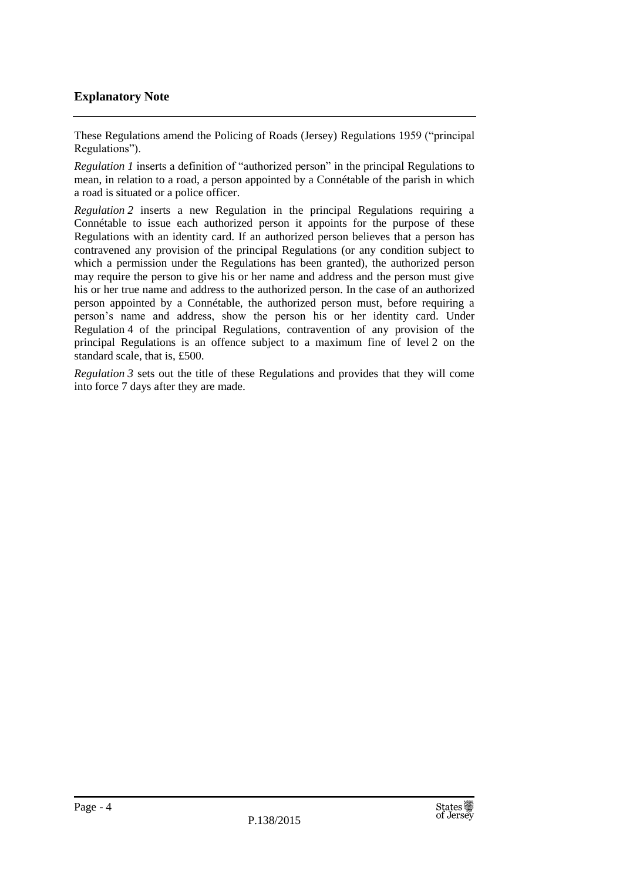### **Explanatory Note**

These Regulations amend the Policing of Roads (Jersey) Regulations 1959 ("principal Regulations").

*Regulation 1* inserts a definition of "authorized person" in the principal Regulations to mean, in relation to a road, a person appointed by a Connétable of the parish in which a road is situated or a police officer.

*Regulation 2* inserts a new Regulation in the principal Regulations requiring a Connétable to issue each authorized person it appoints for the purpose of these Regulations with an identity card. If an authorized person believes that a person has contravened any provision of the principal Regulations (or any condition subject to which a permission under the Regulations has been granted), the authorized person may require the person to give his or her name and address and the person must give his or her true name and address to the authorized person. In the case of an authorized person appointed by a Connétable, the authorized person must, before requiring a person's name and address, show the person his or her identity card. Under Regulation 4 of the principal Regulations, contravention of any provision of the principal Regulations is an offence subject to a maximum fine of level 2 on the standard scale, that is, £500.

*Regulation 3* sets out the title of these Regulations and provides that they will come into force 7 days after they are made.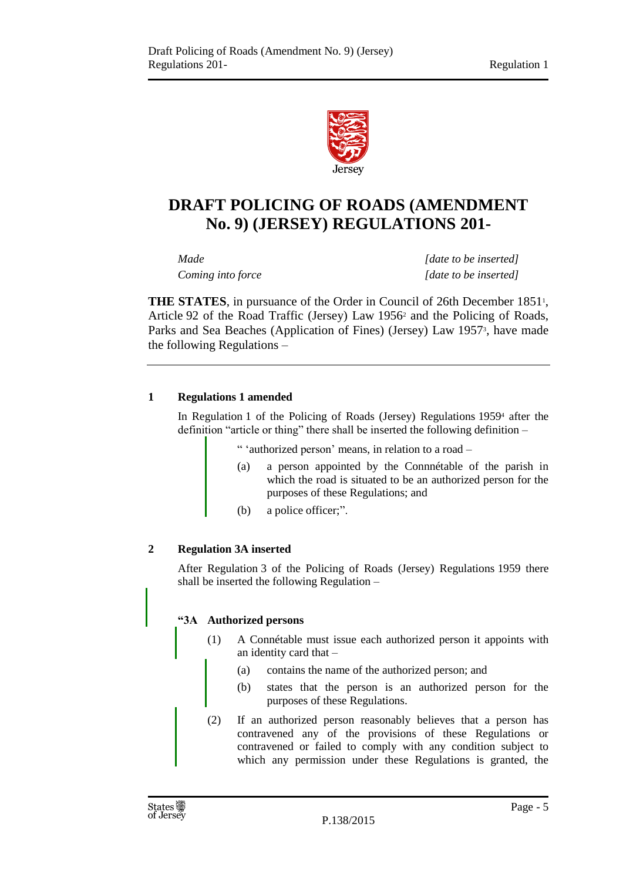

### **DRAFT POLICING OF ROADS (AMENDMENT No. 9) (JERSEY) REGULATIONS 201-**

*Made [date to be inserted] Coming into force [date to be inserted]*

**THE STATES**, in pursuance of the Order in Council of 26th December 1851<sup>1</sup>, Article 92 of the Road Traffic (Jersey) Law 1956<sup>2</sup> and the Policing of Roads, Parks and Sea Beaches (Application of Fines) (Jersey) Law 1957<sup>3</sup>, have made the following Regulations –

### **1 Regulations 1 amended**

In Regulation 1 of the Policing of Roads (Jersey) Regulations 1959<sup>4</sup> after the definition "article or thing" there shall be inserted the following definition –

" 'authorized person' means, in relation to a road –

- (a) a person appointed by the Connnétable of the parish in which the road is situated to be an authorized person for the purposes of these Regulations; and
- (b) a police officer;".

### **2 Regulation 3A inserted**

After Regulation 3 of the Policing of Roads (Jersey) Regulations 1959 there shall be inserted the following Regulation –

### **"3A Authorized persons**

- (1) A Connétable must issue each authorized person it appoints with an identity card that –
	- (a) contains the name of the authorized person; and
	- (b) states that the person is an authorized person for the purposes of these Regulations.
- (2) If an authorized person reasonably believes that a person has contravened any of the provisions of these Regulations or contravened or failed to comply with any condition subject to which any permission under these Regulations is granted, the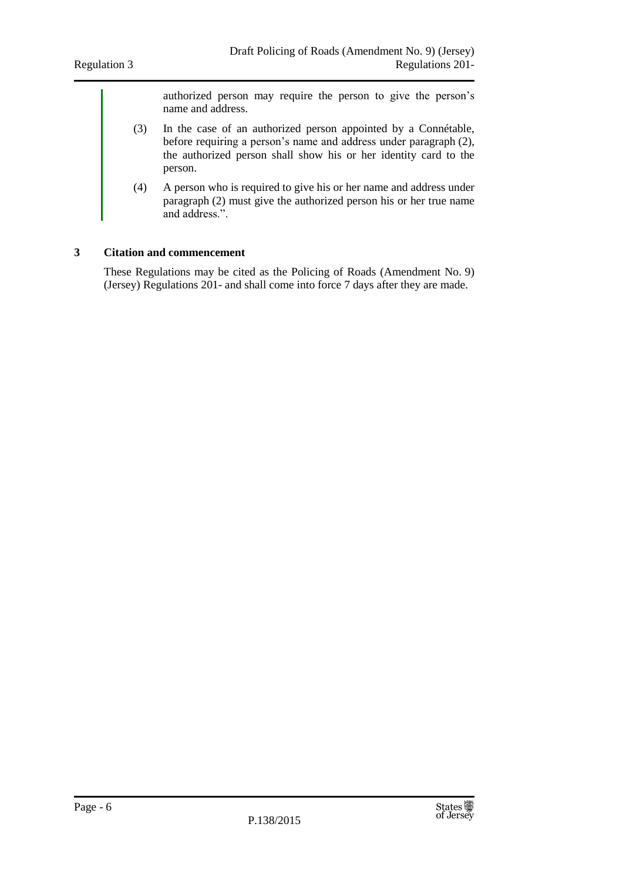authorized person may require the person to give the person's name and address.

- (3) In the case of an authorized person appointed by a Connétable, before requiring a person's name and address under paragraph (2), the authorized person shall show his or her identity card to the person.
- (4) A person who is required to give his or her name and address under paragraph (2) must give the authorized person his or her true name and address.".

### **3 Citation and commencement**

These Regulations may be cited as the Policing of Roads (Amendment No. 9) (Jersey) Regulations 201- and shall come into force 7 days after they are made.